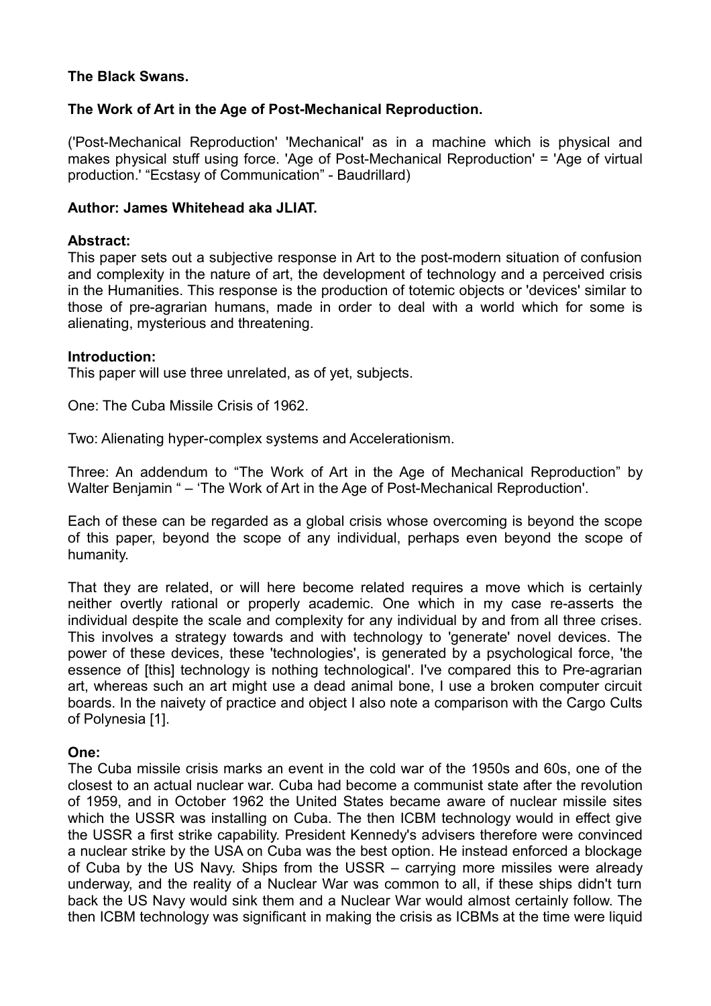# **The Black Swans.**

# **The Work of Art in the Age of Post-Mechanical Reproduction.**

('Post-Mechanical Reproduction' 'Mechanical' as in a machine which is physical and makes physical stuff using force. 'Age of Post-Mechanical Reproduction' = 'Age of virtual production.' "Ecstasy of Communication" - Baudrillard)

## **Author: James Whitehead aka JLIAT.**

### **Abstract:**

This paper sets out a subjective response in Art to the post-modern situation of confusion and complexity in the nature of art, the development of technology and a perceived crisis in the Humanities. This response is the production of totemic objects or 'devices' similar to those of pre-agrarian humans, made in order to deal with a world which for some is alienating, mysterious and threatening.

#### **Introduction:**

This paper will use three unrelated, as of yet, subjects.

One: The Cuba Missile Crisis of 1962.

Two: Alienating hyper-complex systems and Accelerationism.

Three: An addendum to "The Work of Art in the Age of Mechanical Reproduction" by Walter Benjamin " – 'The Work of Art in the Age of Post-Mechanical Reproduction'.

Each of these can be regarded as a global crisis whose overcoming is beyond the scope of this paper, beyond the scope of any individual, perhaps even beyond the scope of humanity.

That they are related, or will here become related requires a move which is certainly neither overtly rational or properly academic. One which in my case re-asserts the individual despite the scale and complexity for any individual by and from all three crises. This involves a strategy towards and with technology to 'generate' novel devices. The power of these devices, these 'technologies', is generated by a psychological force, 'the essence of [this] technology is nothing technological'. I've compared this to Pre-agrarian art, whereas such an art might use a dead animal bone, I use a broken computer circuit boards. In the naivety of practice and object I also note a comparison with the Cargo Cults of Polynesia [1].

## **One:**

The Cuba missile crisis marks an event in the cold war of the 1950s and 60s, one of the closest to an actual nuclear war. Cuba had become a communist state after the revolution of 1959, and in October 1962 the United States became aware of nuclear missile sites which the USSR was installing on Cuba. The then ICBM technology would in effect give the USSR a first strike capability. President Kennedy's advisers therefore were convinced a nuclear strike by the USA on Cuba was the best option. He instead enforced a blockage of Cuba by the US Navy. Ships from the USSR – carrying more missiles were already underway, and the reality of a Nuclear War was common to all, if these ships didn't turn back the US Navy would sink them and a Nuclear War would almost certainly follow. The then ICBM technology was significant in making the crisis as ICBMs at the time were liquid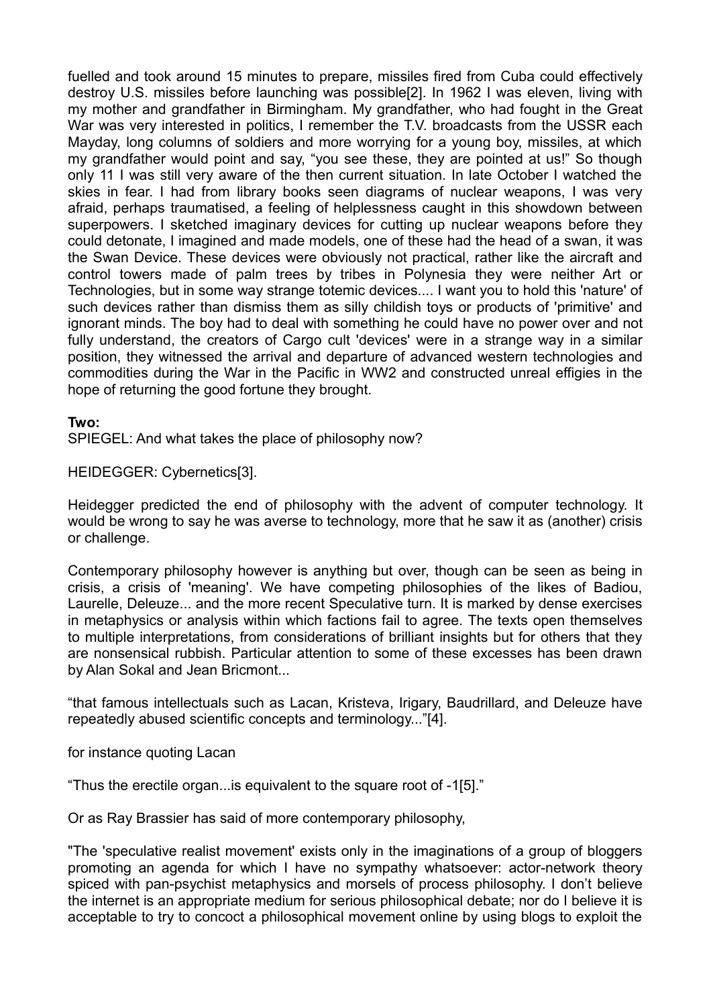fuelled and took around 15 minutes to prepare, missiles fired from Cuba could effectively destroy U.S. missiles before launching was possible[2]. In 1962 I was eleven, living with my mother and grandfather in Birmingham. My grandfather, who had fought in the Great War was very interested in politics, I remember the T.V. broadcasts from the USSR each Mayday, long columns of soldiers and more worrying for a young boy, missiles, at which my grandfather would point and say, "you see these, they are pointed at us!" So though only 11 I was still very aware of the then current situation. In late October I watched the skies in fear. I had from library books seen diagrams of nuclear weapons, I was very afraid, perhaps traumatised, a feeling of helplessness caught in this showdown between superpowers. I sketched imaginary devices for cutting up nuclear weapons before they could detonate, I imagined and made models, one of these had the head of a swan, it was the Swan Device. These devices were obviously not practical, rather like the aircraft and control towers made of palm trees by tribes in Polynesia they were neither Art or Technologies, but in some way strange totemic devices.... I want you to hold this 'nature' of such devices rather than dismiss them as silly childish toys or products of 'primitive' and ignorant minds. The boy had to deal with something he could have no power over and not fully understand, the creators of Cargo cult 'devices' were in a strange way in a similar position, they witnessed the arrival and departure of advanced western technologies and commodities during the War in the Pacific in WW2 and constructed unreal effigies in the hope of returning the good fortune they brought.

### **Two:**

SPIEGEL: And what takes the place of philosophy now?

HEIDEGGER: Cybernetics[3].

Heidegger predicted the end of philosophy with the advent of computer technology. It would be wrong to say he was averse to technology, more that he saw it as (another) crisis or challenge.

Contemporary philosophy however is anything but over, though can be seen as being in crisis, a crisis of 'meaning'. We have competing philosophies of the likes of Badiou, Laurelle, Deleuze... and the more recent Speculative turn. It is marked by dense exercises in metaphysics or analysis within which factions fail to agree. The texts open themselves to multiple interpretations, from considerations of brilliant insights but for others that they are nonsensical rubbish. Particular attention to some of these excesses has been drawn by Alan Sokal and Jean Bricmont...

"that famous intellectuals such as Lacan, Kristeva, Irigary, Baudrillard, and Deleuze have repeatedly abused scientific concepts and terminology..."[4].

for instance quoting Lacan

"Thus the erectile organ...is equivalent to the square root of -1[5]."

Or as Ray Brassier has said of more contemporary philosophy,

"The 'speculative realist movement' exists only in the imaginations of a group of bloggers promoting an agenda for which I have no sympathy whatsoever: actor-network theory spiced with pan-psychist metaphysics and morsels of process philosophy. I don't believe the internet is an appropriate medium for serious philosophical debate; nor do I believe it is acceptable to try to concoct a philosophical movement online by using blogs to exploit the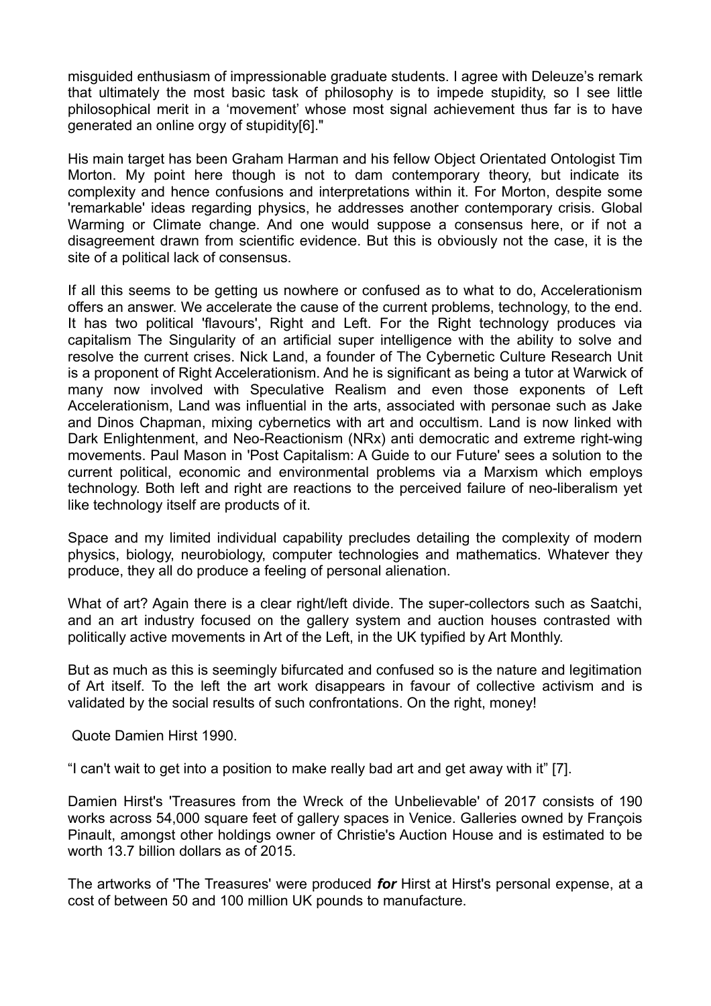misguided enthusiasm of impressionable graduate students. I agree with Deleuze's remark that ultimately the most basic task of philosophy is to impede stupidity, so I see little philosophical merit in a 'movement' whose most signal achievement thus far is to have generated an online orgy of stupidity[6]."

His main target has been Graham Harman and his fellow Object Orientated Ontologist Tim Morton. My point here though is not to dam contemporary theory, but indicate its complexity and hence confusions and interpretations within it. For Morton, despite some 'remarkable' ideas regarding physics, he addresses another contemporary crisis. Global Warming or Climate change. And one would suppose a consensus here, or if not a disagreement drawn from scientific evidence. But this is obviously not the case, it is the site of a political lack of consensus.

If all this seems to be getting us nowhere or confused as to what to do, Accelerationism offers an answer. We accelerate the cause of the current problems, technology, to the end. It has two political 'flavours', Right and Left. For the Right technology produces via capitalism The Singularity of an artificial super intelligence with the ability to solve and resolve the current crises. Nick Land, a founder of The Cybernetic Culture Research Unit is a proponent of Right Accelerationism. And he is significant as being a tutor at Warwick of many now involved with Speculative Realism and even those exponents of Left Accelerationism, Land was influential in the arts, associated with personae such as Jake and Dinos Chapman, mixing cybernetics with art and occultism. Land is now linked with Dark Enlightenment, and Neo-Reactionism (NRx) anti democratic and extreme right-wing movements. Paul Mason in 'Post Capitalism: A Guide to our Future' sees a solution to the current political, economic and environmental problems via a Marxism which employs technology. Both left and right are reactions to the perceived failure of neo-liberalism yet like technology itself are products of it.

Space and my limited individual capability precludes detailing the complexity of modern physics, biology, neurobiology, computer technologies and mathematics. Whatever they produce, they all do produce a feeling of personal alienation.

What of art? Again there is a clear right/left divide. The super-collectors such as Saatchi, and an art industry focused on the gallery system and auction houses contrasted with politically active movements in Art of the Left, in the UK typified by Art Monthly.

But as much as this is seemingly bifurcated and confused so is the nature and legitimation of Art itself. To the left the art work disappears in favour of collective activism and is validated by the social results of such confrontations. On the right, money!

Quote Damien Hirst 1990.

"I can't wait to get into a position to make really bad art and get away with it" [7].

Damien Hirst's 'Treasures from the Wreck of the Unbelievable' of 2017 consists of 190 works across 54,000 square feet of gallery spaces in Venice. Galleries owned by François Pinault, amongst other holdings owner of Christie's Auction House and is estimated to be worth 13.7 billion dollars as of 2015.

The artworks of 'The Treasures' were produced *for* Hirst at Hirst's personal expense, at a cost of between 50 and 100 million UK pounds to manufacture.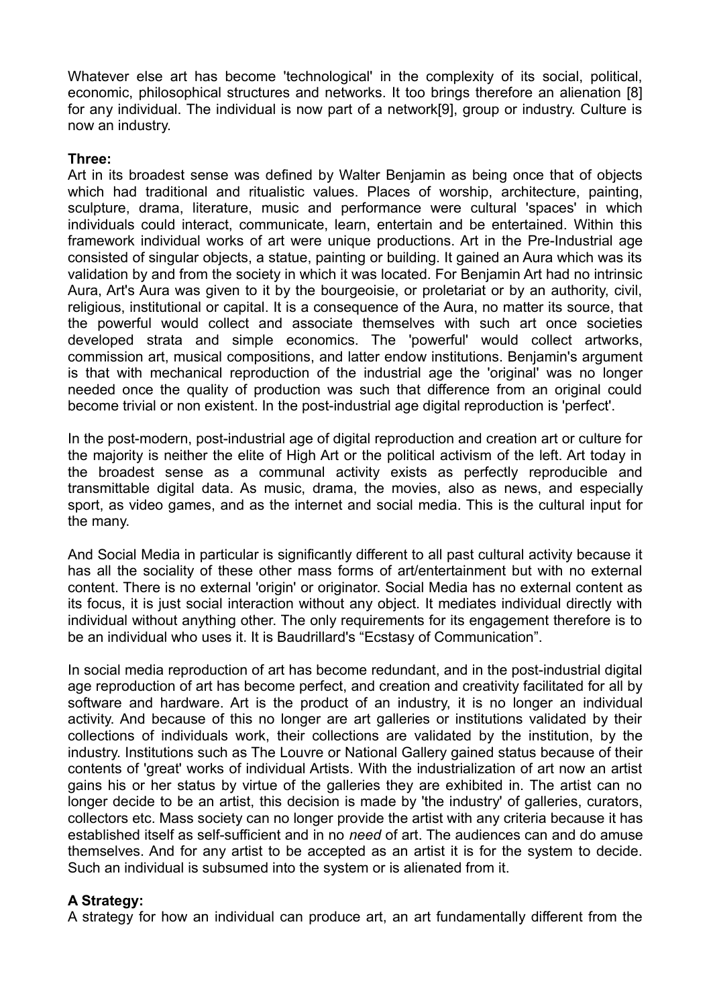Whatever else art has become 'technological' in the complexity of its social, political, economic, philosophical structures and networks. It too brings therefore an alienation [8] for any individual. The individual is now part of a network[9], group or industry. Culture is now an industry.

## **Three:**

Art in its broadest sense was defined by Walter Benjamin as being once that of objects which had traditional and ritualistic values. Places of worship, architecture, painting, sculpture, drama, literature, music and performance were cultural 'spaces' in which individuals could interact, communicate, learn, entertain and be entertained. Within this framework individual works of art were unique productions. Art in the Pre-Industrial age consisted of singular objects, a statue, painting or building. It gained an Aura which was its validation by and from the society in which it was located. For Benjamin Art had no intrinsic Aura, Art's Aura was given to it by the bourgeoisie, or proletariat or by an authority, civil, religious, institutional or capital. It is a consequence of the Aura, no matter its source, that the powerful would collect and associate themselves with such art once societies developed strata and simple economics. The 'powerful' would collect artworks, commission art, musical compositions, and latter endow institutions. Benjamin's argument is that with mechanical reproduction of the industrial age the 'original' was no longer needed once the quality of production was such that difference from an original could become trivial or non existent. In the post-industrial age digital reproduction is 'perfect'.

In the post-modern, post-industrial age of digital reproduction and creation art or culture for the majority is neither the elite of High Art or the political activism of the left. Art today in the broadest sense as a communal activity exists as perfectly reproducible and transmittable digital data. As music, drama, the movies, also as news, and especially sport, as video games, and as the internet and social media. This is the cultural input for the many.

And Social Media in particular is significantly different to all past cultural activity because it has all the sociality of these other mass forms of art/entertainment but with no external content. There is no external 'origin' or originator. Social Media has no external content as its focus, it is just social interaction without any object. It mediates individual directly with individual without anything other. The only requirements for its engagement therefore is to be an individual who uses it. It is Baudrillard's "Ecstasy of Communication".

In social media reproduction of art has become redundant, and in the post-industrial digital age reproduction of art has become perfect, and creation and creativity facilitated for all by software and hardware. Art is the product of an industry, it is no longer an individual activity. And because of this no longer are art galleries or institutions validated by their collections of individuals work, their collections are validated by the institution, by the industry. Institutions such as The Louvre or National Gallery gained status because of their contents of 'great' works of individual Artists. With the industrialization of art now an artist gains his or her status by virtue of the galleries they are exhibited in. The artist can no longer decide to be an artist, this decision is made by 'the industry' of galleries, curators, collectors etc. Mass society can no longer provide the artist with any criteria because it has established itself as self-sufficient and in no *need* of art. The audiences can and do amuse themselves. And for any artist to be accepted as an artist it is for the system to decide. Such an individual is subsumed into the system or is alienated from it.

## **A Strategy:**

A strategy for how an individual can produce art, an art fundamentally different from the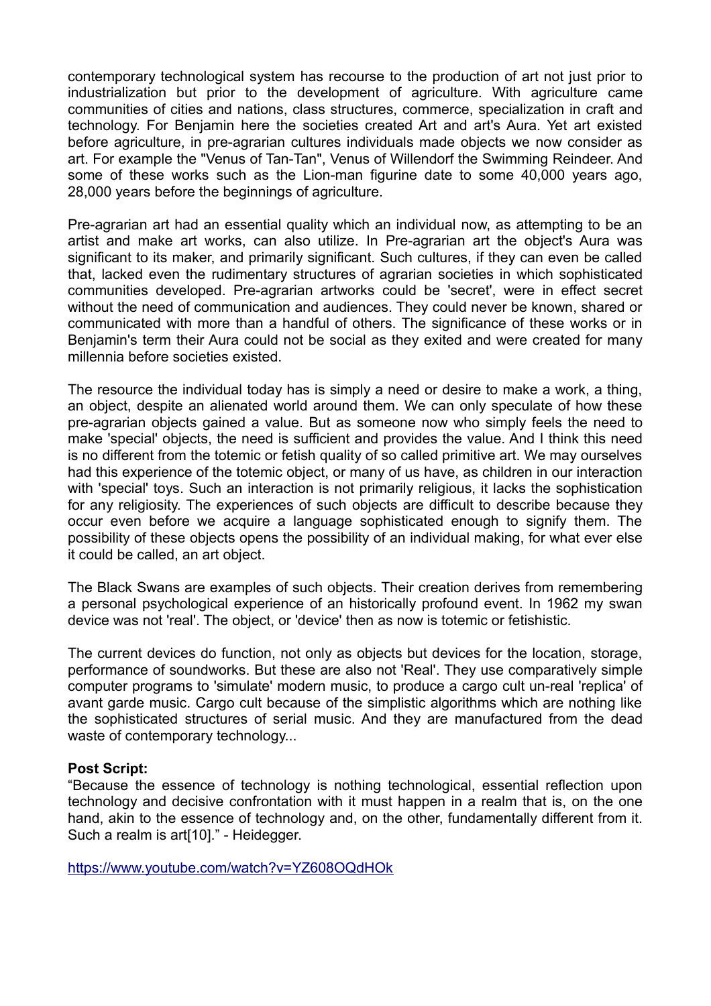contemporary technological system has recourse to the production of art not just prior to industrialization but prior to the development of agriculture. With agriculture came communities of cities and nations, class structures, commerce, specialization in craft and technology. For Benjamin here the societies created Art and art's Aura. Yet art existed before agriculture, in pre-agrarian cultures individuals made objects we now consider as art. For example the "Venus of Tan-Tan", Venus of Willendorf the Swimming Reindeer. And some of these works such as the Lion-man figurine date to some 40,000 years ago, 28,000 years before the beginnings of agriculture.

Pre-agrarian art had an essential quality which an individual now, as attempting to be an artist and make art works, can also utilize. In Pre-agrarian art the object's Aura was significant to its maker, and primarily significant. Such cultures, if they can even be called that, lacked even the rudimentary structures of agrarian societies in which sophisticated communities developed. Pre-agrarian artworks could be 'secret', were in effect secret without the need of communication and audiences. They could never be known, shared or communicated with more than a handful of others. The significance of these works or in Benjamin's term their Aura could not be social as they exited and were created for many millennia before societies existed.

The resource the individual today has is simply a need or desire to make a work, a thing, an object, despite an alienated world around them. We can only speculate of how these pre-agrarian objects gained a value. But as someone now who simply feels the need to make 'special' objects, the need is sufficient and provides the value. And I think this need is no different from the totemic or fetish quality of so called primitive art. We may ourselves had this experience of the totemic object, or many of us have, as children in our interaction with 'special' toys. Such an interaction is not primarily religious, it lacks the sophistication for any religiosity. The experiences of such objects are difficult to describe because they occur even before we acquire a language sophisticated enough to signify them. The possibility of these objects opens the possibility of an individual making, for what ever else it could be called, an art object.

The Black Swans are examples of such objects. Their creation derives from remembering a personal psychological experience of an historically profound event. In 1962 my swan device was not 'real'. The object, or 'device' then as now is totemic or fetishistic.

The current devices do function, not only as objects but devices for the location, storage, performance of soundworks. But these are also not 'Real'. They use comparatively simple computer programs to 'simulate' modern music, to produce a cargo cult un-real 'replica' of avant garde music. Cargo cult because of the simplistic algorithms which are nothing like the sophisticated structures of serial music. And they are manufactured from the dead waste of contemporary technology...

## **Post Script:**

"Because the essence of technology is nothing technological, essential reflection upon technology and decisive confrontation with it must happen in a realm that is, on the one hand, akin to the essence of technology and, on the other, fundamentally different from it. Such a realm is art[10]." - Heidegger.

<https://www.youtube.com/watch?v=YZ608OQdHOk>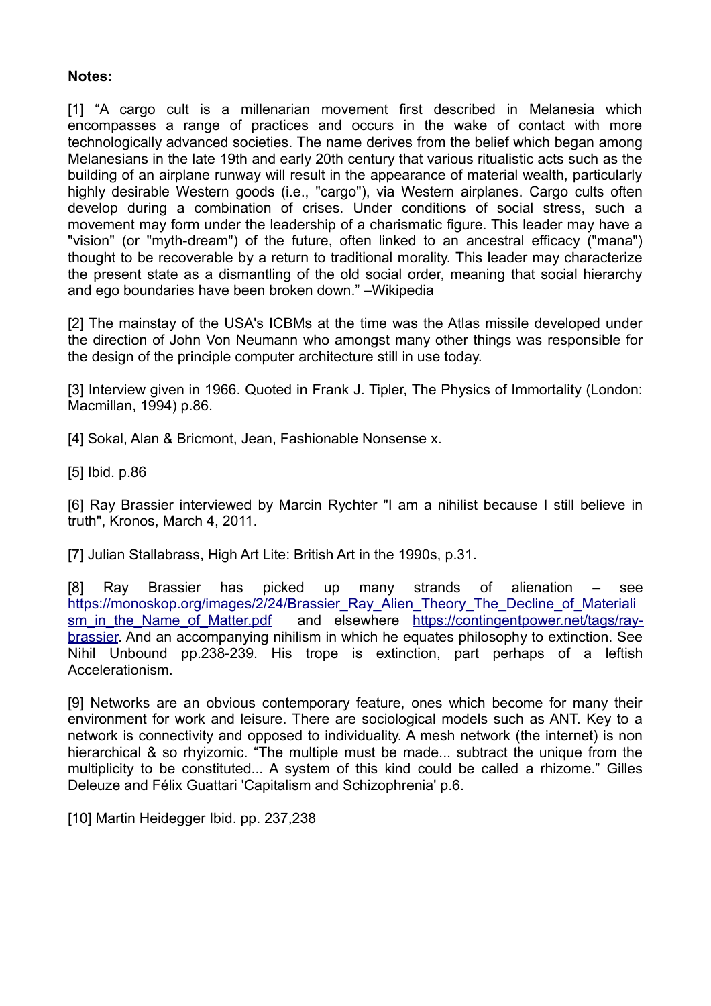## **Notes:**

[1] "A cargo cult is a millenarian movement first described in Melanesia which encompasses a range of practices and occurs in the wake of contact with more technologically advanced societies. The name derives from the belief which began among Melanesians in the late 19th and early 20th century that various ritualistic acts such as the building of an airplane runway will result in the appearance of material wealth, particularly highly desirable Western goods (i.e., "cargo"), via Western airplanes. Cargo cults often develop during a combination of crises. Under conditions of social stress, such a movement may form under the leadership of a charismatic figure. This leader may have a "vision" (or "myth-dream") of the future, often linked to an ancestral efficacy ("mana") thought to be recoverable by a return to traditional morality. This leader may characterize the present state as a dismantling of the old social order, meaning that social hierarchy and ego boundaries have been broken down." –Wikipedia

[2] The mainstay of the USA's ICBMs at the time was the Atlas missile developed under the direction of John Von Neumann who amongst many other things was responsible for the design of the principle computer architecture still in use today.

[3] Interview given in 1966. Quoted in Frank J. Tipler. The Physics of Immortality (London: Macmillan, 1994) p.86.

[4] Sokal, Alan & Bricmont, Jean, Fashionable Nonsense x.

[5] Ibid. p.86

[6] Ray Brassier interviewed by Marcin Rychter "I am a nihilist because I still believe in truth", Kronos, March 4, 2011.

[7] Julian Stallabrass, High Art Lite: British Art in the 1990s, p.31.

[8] Ray Brassier has picked up many strands of alienation – see [https://monoskop.org/images/2/24/Brassier\\_Ray\\_Alien\\_Theory\\_The\\_Decline\\_of\\_Materiali](https://monoskop.org/images/2/24/Brassier_Ray_Alien_Theory_The_Decline_of_Materialism_in_the_Name_of_Matter.pdf) sm in the Name of Matter.pdf and elsewhere [https://contingentpower.net/tags/ray](https://contingentpower.net/tags/ray-brassier)[brassier.](https://contingentpower.net/tags/ray-brassier) And an accompanying nihilism in which he equates philosophy to extinction. See Nihil Unbound pp.238-239. His trope is extinction, part perhaps of a leftish Accelerationism.

[9] Networks are an obvious contemporary feature, ones which become for many their environment for work and leisure. There are sociological models such as ANT. Key to a network is connectivity and opposed to individuality. A mesh network (the internet) is non hierarchical & so rhyizomic. "The multiple must be made... subtract the unique from the multiplicity to be constituted... A system of this kind could be called a rhizome." Gilles Deleuze and Félix Guattari 'Capitalism and Schizophrenia' p.6.

[10] Martin Heidegger Ibid. pp. 237,238